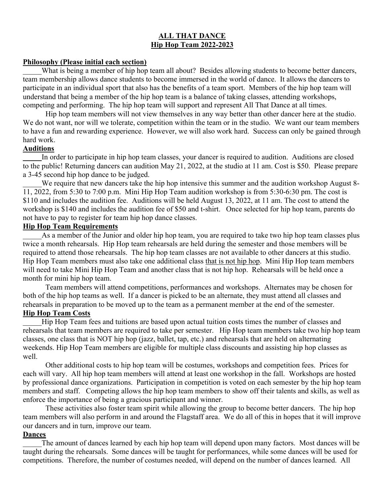# **ALL THAT DANCE Hip Hop Team 2022-2023**

# **Philosophy (Please initial each section)**

What is being a member of hip hop team all about? Besides allowing students to become better dancers, team membership allows dance students to become immersed in the world of dance. It allows the dancers to participate in an individual sport that also has the benefits of a team sport. Members of the hip hop team will understand that being a member of the hip hop team is a balance of taking classes, attending workshops, competing and performing. The hip hop team will support and represent All That Dance at all times.

Hip hop team members will not view themselves in any way better than other dancer here at the studio. We do not want, nor will we tolerate, competition within the team or in the studio. We want our team members to have a fun and rewarding experience. However, we will also work hard. Success can only be gained through hard work.

# **Auditions**

In order to participate in hip hop team classes, your dancer is required to audition. Auditions are closed to the public! Returning dancers can audition May 21, 2022, at the studio at 11 am. Cost is \$50. Please prepare a 3-45 second hip hop dance to be judged.

We require that new dancers take the hip hop intensive this summer and the audition workshop August 8-11, 2022, from 5:30 to 7:00 p.m. Mini Hip Hop Team audition workshop is from 5:30-6:30 pm. The cost is \$110 and includes the audition fee. Auditions will be held August 13, 2022, at 11 am. The cost to attend the workshop is \$140 and includes the audition fee of \$50 and t-shirt. Once selected for hip hop team, parents do not have to pay to register for team hip hop dance classes.

### **Hip Hop Team Requirements**

As a member of the Junior and older hip hop team, you are required to take two hip hop team classes plus twice a month rehearsals. Hip Hop team rehearsals are held during the semester and those members will be required to attend those rehearsals. The hip hop team classes are not available to other dancers at this studio. Hip Hop Team members must also take one additional class that is not hip hop. Mini Hip Hop team members will need to take Mini Hip Hop Team and another class that is not hip hop. Rehearsals will be held once a month for mini hip hop team.

Team members will attend competitions, performances and workshops. Alternates may be chosen for both of the hip hop teams as well. If a dancer is picked to be an alternate, they must attend all classes and rehearsals in preparation to be moved up to the team as a permanent member at the end of the semester. **Hip Hop Team Costs**

Hip Hop Team fees and tuitions are based upon actual tuition costs times the number of classes and rehearsals that team members are required to take per semester. Hip Hop team members take two hip hop team classes, one class that is NOT hip hop (jazz, ballet, tap, etc.) and rehearsals that are held on alternating weekends. Hip Hop Team members are eligible for multiple class discounts and assisting hip hop classes as well.

Other additional costs to hip hop team will be costumes, workshops and competition fees. Prices for each will vary. All hip hop team members will attend at least one workshop in the fall. Workshops are hosted by professional dance organizations. Participation in competition is voted on each semester by the hip hop team members and staff. Competing allows the hip hop team members to show off their talents and skills, as well as enforce the importance of being a gracious participant and winner.

These activities also foster team spirit while allowing the group to become better dancers. The hip hop team members will also perform in and around the Flagstaff area. We do all of this in hopes that it will improve our dancers and in turn, improve our team.

### **Dances**

The amount of dances learned by each hip hop team will depend upon many factors. Most dances will be taught during the rehearsals. Some dances will be taught for performances, while some dances will be used for competitions. Therefore, the number of costumes needed, will depend on the number of dances learned. All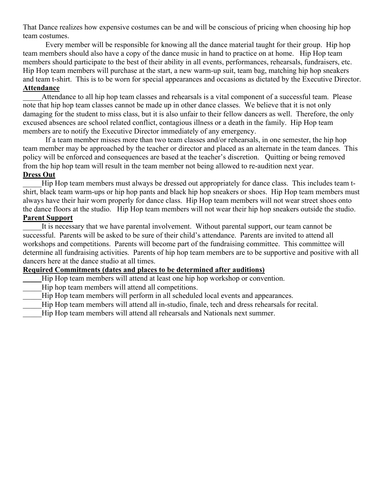That Dance realizes how expensive costumes can be and will be conscious of pricing when choosing hip hop team costumes.

Every member will be responsible for knowing all the dance material taught for their group. Hip hop team members should also have a copy of the dance music in hand to practice on at home. Hip Hop team members should participate to the best of their ability in all events, performances, rehearsals, fundraisers, etc. Hip Hop team members will purchase at the start, a new warm-up suit, team bag, matching hip hop sneakers and team t-shirt. This is to be worn for special appearances and occasions as dictated by the Executive Director. **Attendance**

Attendance to all hip hop team classes and rehearsals is a vital component of a successful team. Please note that hip hop team classes cannot be made up in other dance classes. We believe that it is not only damaging for the student to miss class, but it is also unfair to their fellow dancers as well. Therefore, the only excused absences are school related conflict, contagious illness or a death in the family. Hip Hop team members are to notify the Executive Director immediately of any emergency.

If a team member misses more than two team classes and/or rehearsals, in one semester, the hip hop team member may be approached by the teacher or director and placed as an alternate in the team dances. This policy will be enforced and consequences are based at the teacher's discretion. Quitting or being removed from the hip hop team will result in the team member not being allowed to re-audition next year.

# **Dress Out**

Hip Hop team members must always be dressed out appropriately for dance class. This includes team tshirt, black team warm-ups or hip hop pants and black hip hop sneakers or shoes. Hip Hop team members must always have their hair worn properly for dance class. Hip Hop team members will not wear street shoes onto the dance floors at the studio. Hip Hop team members will not wear their hip hop sneakers outside the studio. **Parent Support**

It is necessary that we have parental involvement. Without parental support, our team cannot be successful. Parents will be asked to be sure of their child's attendance. Parents are invited to attend all workshops and competitions. Parents will become part of the fundraising committee. This committee will determine all fundraising activities. Parents of hip hop team members are to be supportive and positive with all dancers here at the dance studio at all times.

# **Required Commitments (dates and places to be determined after auditions)**

- \_\_\_\_\_Hip Hop team members will attend at least one hip hop workshop or convention.
- Hip hop team members will attend all competitions.
- Hip Hop team members will perform in all scheduled local events and appearances.
- Hip Hop team members will attend all in-studio, finale, tech and dress rehearsals for recital.
- Hip Hop team members will attend all rehearsals and Nationals next summer.